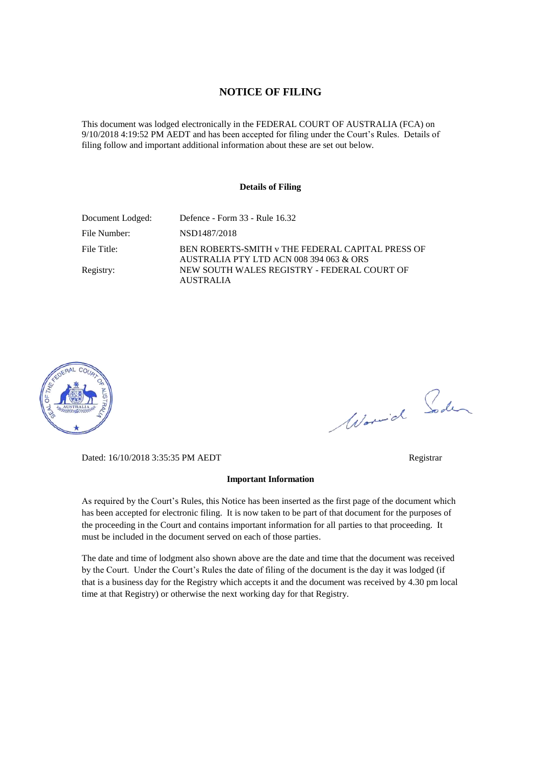#### **NOTICE OF FILING**

This document was lodged electronically in the FEDERAL COURT OF AUSTRALIA (FCA) on 9/10/2018 4:19:52 PM AEDT and has been accepted for filing under the Court's Rules. Details of filing follow and important additional information about these are set out below.

#### **Details of Filing**

| Document Lodged: | Defence - Form 33 - Rule 16.32                                                              |
|------------------|---------------------------------------------------------------------------------------------|
| File Number:     | NSD1487/2018                                                                                |
| File Title:      | BEN ROBERTS-SMITH v THE FEDERAL CAPITAL PRESS OF<br>AUSTRALIA PTY LTD ACN 008 394 063 & ORS |
| Registry:        | NEW SOUTH WALES REGISTRY - FEDERAL COURT OF<br><b>AUSTRALIA</b>                             |



Worwich Soden

Dated: 16/10/2018 3:35:35 PM AEDT Registrar

#### **Important Information**

As required by the Court's Rules, this Notice has been inserted as the first page of the document which has been accepted for electronic filing. It is now taken to be part of that document for the purposes of the proceeding in the Court and contains important information for all parties to that proceeding. It must be included in the document served on each of those parties.

The date and time of lodgment also shown above are the date and time that the document was received by the Court. Under the Court's Rules the date of filing of the document is the day it was lodged (if that is a business day for the Registry which accepts it and the document was received by 4.30 pm local time at that Registry) or otherwise the next working day for that Registry.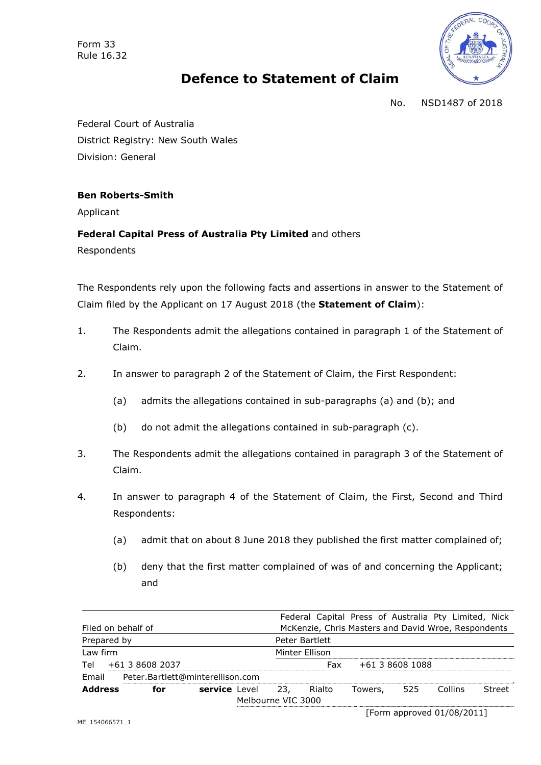Form 33 Rule 16.32



# **Defence to Statement of Claim**

No. NSD1487 of 2018

Federal Court of Australia District Registry: New South Wales Division: General

### **Ben Roberts-Smith**

Applicant

#### **Federal Capital Press of Australia Pty Limited** and others

Respondents

The Respondents rely upon the following facts and assertions in answer to the Statement of Claim filed by the Applicant on 17 August 2018 (the **Statement of Claim**):

- 1. The Respondents admit the allegations contained in paragraph 1 of the Statement of Claim.
- 2. In answer to paragraph 2 of the Statement of Claim, the First Respondent:
	- (a) admits the allegations contained in sub-paragraphs (a) and (b); and
	- (b) do not admit the allegations contained in sub-paragraph (c).
- 3. The Respondents admit the allegations contained in paragraph 3 of the Statement of Claim.
- 4. In answer to paragraph 4 of the Statement of Claim, the First, Second and Third Respondents:
	- (a) admit that on about 8 June 2018 they published the first matter complained of;
	- (b) deny that the first matter complained of was of and concerning the Applicant; and

|                    |                                                     |     |                                                     |                |                            |                        |         |     | Federal Capital Press of Australia Pty Limited, Nick |        |  |
|--------------------|-----------------------------------------------------|-----|-----------------------------------------------------|----------------|----------------------------|------------------------|---------|-----|------------------------------------------------------|--------|--|
| Filed on behalf of |                                                     |     | McKenzie, Chris Masters and David Wroe, Respondents |                |                            |                        |         |     |                                                      |        |  |
| Prepared by        |                                                     |     |                                                     | Peter Bartlett |                            |                        |         |     |                                                      |        |  |
| Law firm           |                                                     |     |                                                     |                |                            | Minter Ellison         |         |     |                                                      |        |  |
| Tel                | +61 3 8608 2037<br>Peter.Bartlett@minterellison.com |     |                                                     |                |                            | +61 3 8608 1088<br>Fax |         |     |                                                      |        |  |
| Email              |                                                     |     |                                                     |                |                            |                        |         |     |                                                      |        |  |
| <b>Address</b>     |                                                     | for | service Level                                       |                | -23,<br>Melbourne VIC 3000 | Rialto                 | Towers, | 525 | Collins                                              | Street |  |

[Form approved 01/08/2011]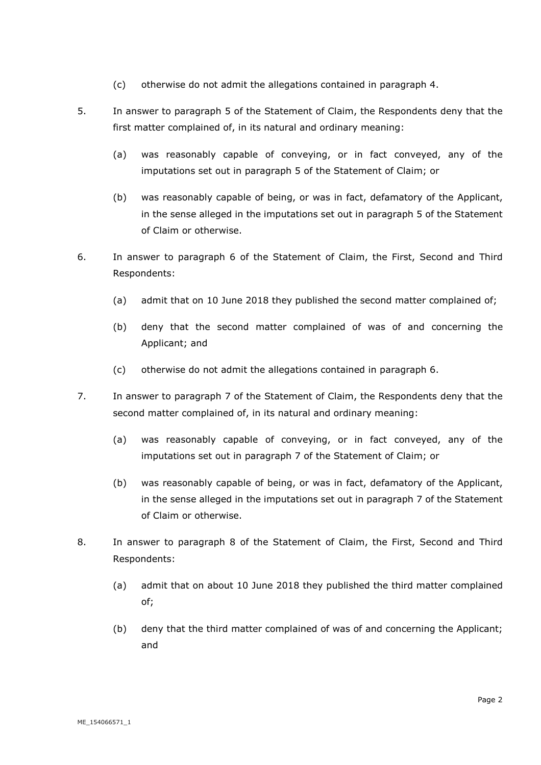- (c) otherwise do not admit the allegations contained in paragraph 4.
- 5. In answer to paragraph 5 of the Statement of Claim, the Respondents deny that the first matter complained of, in its natural and ordinary meaning:
	- (a) was reasonably capable of conveying, or in fact conveyed, any of the imputations set out in paragraph 5 of the Statement of Claim; or
	- (b) was reasonably capable of being, or was in fact, defamatory of the Applicant, in the sense alleged in the imputations set out in paragraph 5 of the Statement of Claim or otherwise.
- 6. In answer to paragraph 6 of the Statement of Claim, the First, Second and Third Respondents:
	- (a) admit that on 10 June 2018 they published the second matter complained of;
	- (b) deny that the second matter complained of was of and concerning the Applicant; and
	- (c) otherwise do not admit the allegations contained in paragraph 6.
- 7. In answer to paragraph 7 of the Statement of Claim, the Respondents deny that the second matter complained of, in its natural and ordinary meaning:
	- (a) was reasonably capable of conveying, or in fact conveyed, any of the imputations set out in paragraph 7 of the Statement of Claim; or
	- (b) was reasonably capable of being, or was in fact, defamatory of the Applicant, in the sense alleged in the imputations set out in paragraph 7 of the Statement of Claim or otherwise.
- 8. In answer to paragraph 8 of the Statement of Claim, the First, Second and Third Respondents:
	- (a) admit that on about 10 June 2018 they published the third matter complained of;
	- (b) deny that the third matter complained of was of and concerning the Applicant; and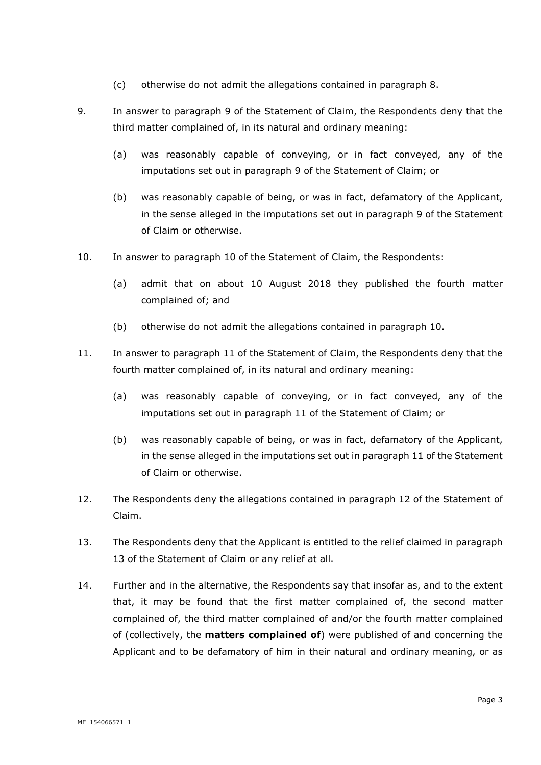- (c) otherwise do not admit the allegations contained in paragraph 8.
- 9. In answer to paragraph 9 of the Statement of Claim, the Respondents deny that the third matter complained of, in its natural and ordinary meaning:
	- (a) was reasonably capable of conveying, or in fact conveyed, any of the imputations set out in paragraph 9 of the Statement of Claim; or
	- (b) was reasonably capable of being, or was in fact, defamatory of the Applicant, in the sense alleged in the imputations set out in paragraph 9 of the Statement of Claim or otherwise.
- 10. In answer to paragraph 10 of the Statement of Claim, the Respondents:
	- (a) admit that on about 10 August 2018 they published the fourth matter complained of; and
	- (b) otherwise do not admit the allegations contained in paragraph 10.
- 11. In answer to paragraph 11 of the Statement of Claim, the Respondents deny that the fourth matter complained of, in its natural and ordinary meaning:
	- (a) was reasonably capable of conveying, or in fact conveyed, any of the imputations set out in paragraph 11 of the Statement of Claim; or
	- (b) was reasonably capable of being, or was in fact, defamatory of the Applicant, in the sense alleged in the imputations set out in paragraph 11 of the Statement of Claim or otherwise.
- 12. The Respondents deny the allegations contained in paragraph 12 of the Statement of Claim.
- 13. The Respondents deny that the Applicant is entitled to the relief claimed in paragraph 13 of the Statement of Claim or any relief at all.
- 14. Further and in the alternative, the Respondents say that insofar as, and to the extent that, it may be found that the first matter complained of, the second matter complained of, the third matter complained of and/or the fourth matter complained of (collectively, the **matters complained of**) were published of and concerning the Applicant and to be defamatory of him in their natural and ordinary meaning, or as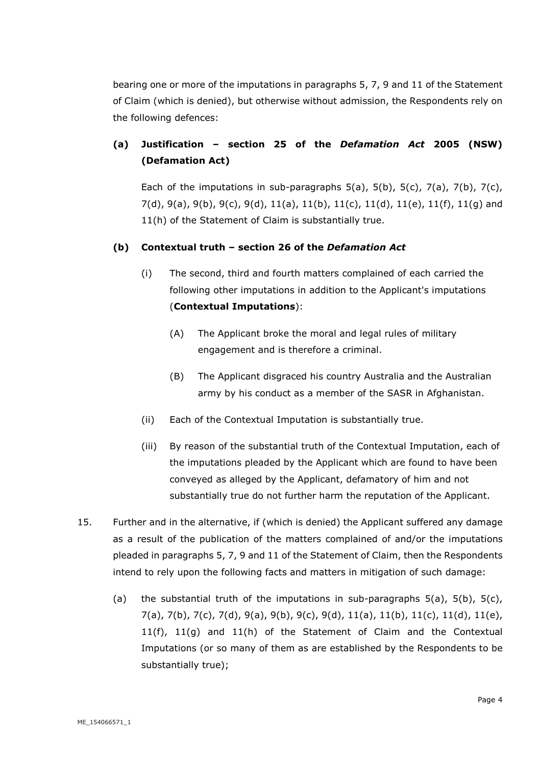bearing one or more of the imputations in paragraphs 5, 7, 9 and 11 of the Statement of Claim (which is denied), but otherwise without admission, the Respondents rely on the following defences:

## **(a) Justification – section 25 of the** *Defamation Act* **2005 (NSW) (Defamation Act)**

Each of the imputations in sub-paragraphs  $5(a)$ ,  $5(b)$ ,  $5(c)$ ,  $7(a)$ ,  $7(b)$ ,  $7(c)$ , 7(d), 9(a), 9(b), 9(c), 9(d), 11(a), 11(b), 11(c), 11(d), 11(e), 11(f), 11(g) and 11(h) of the Statement of Claim is substantially true.

### **(b) Contextual truth – section 26 of the** *Defamation Act*

- (i) The second, third and fourth matters complained of each carried the following other imputations in addition to the Applicant's imputations (**Contextual Imputations**):
	- (A) The Applicant broke the moral and legal rules of military engagement and is therefore a criminal.
	- (B) The Applicant disgraced his country Australia and the Australian army by his conduct as a member of the SASR in Afghanistan.
- (ii) Each of the Contextual Imputation is substantially true.
- (iii) By reason of the substantial truth of the Contextual Imputation, each of the imputations pleaded by the Applicant which are found to have been conveyed as alleged by the Applicant, defamatory of him and not substantially true do not further harm the reputation of the Applicant.
- 15. Further and in the alternative, if (which is denied) the Applicant suffered any damage as a result of the publication of the matters complained of and/or the imputations pleaded in paragraphs 5, 7, 9 and 11 of the Statement of Claim, then the Respondents intend to rely upon the following facts and matters in mitigation of such damage:
	- (a) the substantial truth of the imputations in sub-paragraphs  $5(a)$ ,  $5(b)$ ,  $5(c)$ , 7(a), 7(b), 7(c), 7(d), 9(a), 9(b), 9(c), 9(d), 11(a), 11(b), 11(c), 11(d), 11(e), 11(f), 11(g) and 11(h) of the Statement of Claim and the Contextual Imputations (or so many of them as are established by the Respondents to be substantially true);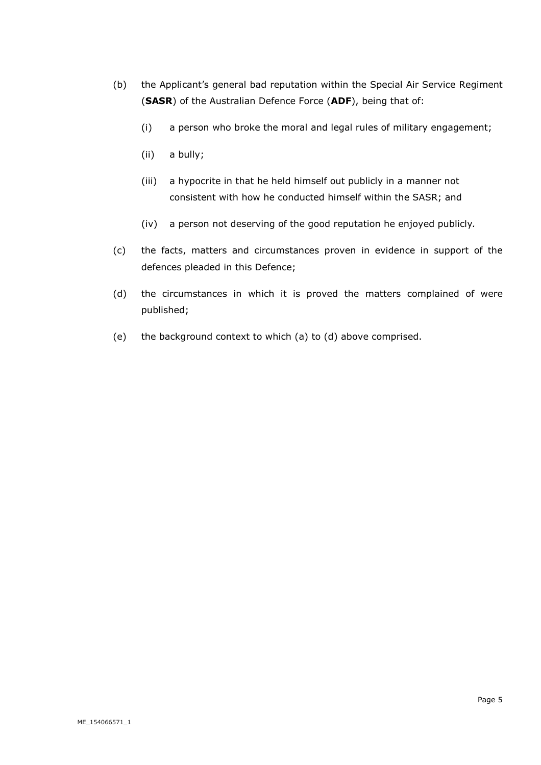- (b) the Applicant's general bad reputation within the Special Air Service Regiment (**SASR**) of the Australian Defence Force (**ADF**), being that of:
	- (i) a person who broke the moral and legal rules of military engagement;
	- (ii) a bully;
	- (iii) a hypocrite in that he held himself out publicly in a manner not consistent with how he conducted himself within the SASR; and
	- (iv) a person not deserving of the good reputation he enjoyed publicly*.*
- (c) the facts, matters and circumstances proven in evidence in support of the defences pleaded in this Defence;
- (d) the circumstances in which it is proved the matters complained of were published;
- (e) the background context to which (a) to (d) above comprised.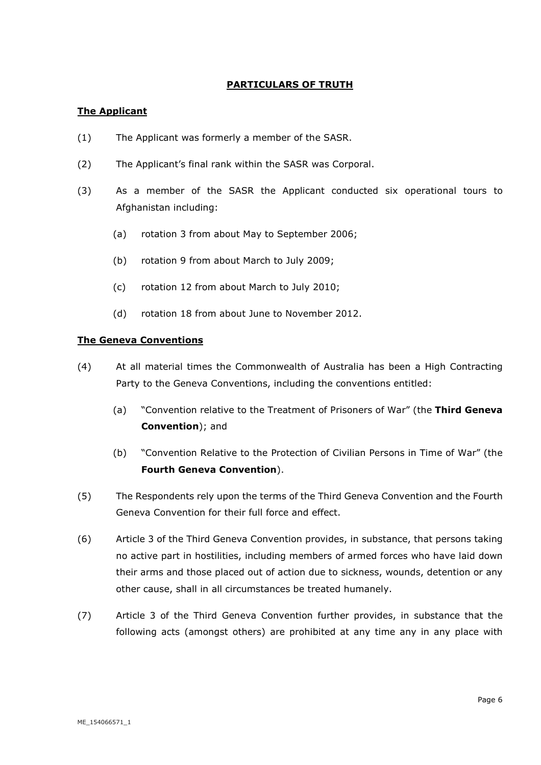#### **PARTICULARS OF TRUTH**

#### **The Applicant**

- (1) The Applicant was formerly a member of the SASR.
- (2) The Applicant's final rank within the SASR was Corporal.
- (3) As a member of the SASR the Applicant conducted six operational tours to Afghanistan including:
	- (a) rotation 3 from about May to September 2006;
	- (b) rotation 9 from about March to July 2009;
	- (c) rotation 12 from about March to July 2010;
	- (d) rotation 18 from about June to November 2012.

#### **The Geneva Conventions**

- (4) At all material times the Commonwealth of Australia has been a High Contracting Party to the Geneva Conventions, including the conventions entitled:
	- (a) "Convention relative to the Treatment of Prisoners of War" (the **Third Geneva Convention**); and
	- (b) "Convention Relative to the Protection of Civilian Persons in Time of War" (the **Fourth Geneva Convention**).
- (5) The Respondents rely upon the terms of the Third Geneva Convention and the Fourth Geneva Convention for their full force and effect.
- (6) Article 3 of the Third Geneva Convention provides, in substance, that persons taking no active part in hostilities, including members of armed forces who have laid down their arms and those placed out of action due to sickness, wounds, detention or any other cause, shall in all circumstances be treated humanely.
- (7) Article 3 of the Third Geneva Convention further provides, in substance that the following acts (amongst others) are prohibited at any time any in any place with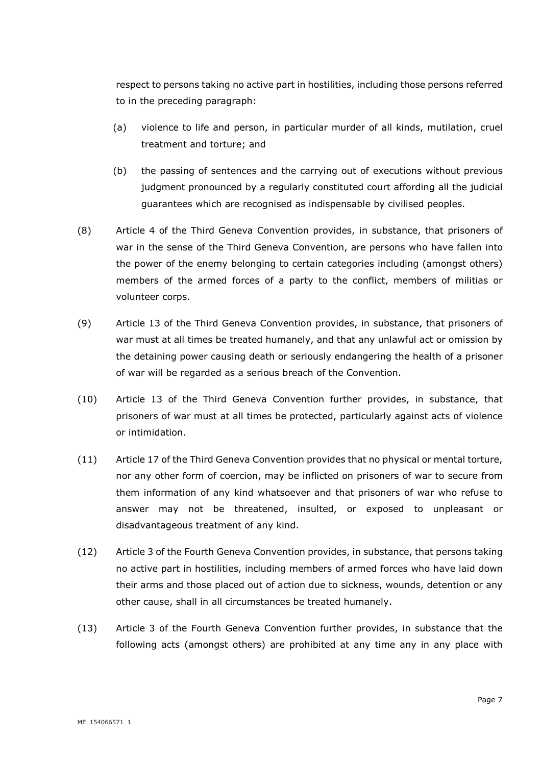respect to persons taking no active part in hostilities, including those persons referred to in the preceding paragraph:

- (a) violence to life and person, in particular murder of all kinds, mutilation, cruel treatment and torture; and
- (b) the passing of sentences and the carrying out of executions without previous judgment pronounced by a regularly constituted court affording all the judicial guarantees which are recognised as indispensable by civilised peoples.
- (8) Article 4 of the Third Geneva Convention provides, in substance, that prisoners of war in the sense of the Third Geneva Convention, are persons who have fallen into the power of the enemy belonging to certain categories including (amongst others) members of the armed forces of a party to the conflict, members of militias or volunteer corps.
- (9) Article 13 of the Third Geneva Convention provides, in substance, that prisoners of war must at all times be treated humanely, and that any unlawful act or omission by the detaining power causing death or seriously endangering the health of a prisoner of war will be regarded as a serious breach of the Convention.
- (10) Article 13 of the Third Geneva Convention further provides, in substance, that prisoners of war must at all times be protected, particularly against acts of violence or intimidation.
- (11) Article 17 of the Third Geneva Convention provides that no physical or mental torture, nor any other form of coercion, may be inflicted on prisoners of war to secure from them information of any kind whatsoever and that prisoners of war who refuse to answer may not be threatened, insulted, or exposed to unpleasant or disadvantageous treatment of any kind.
- (12) Article 3 of the Fourth Geneva Convention provides, in substance, that persons taking no active part in hostilities, including members of armed forces who have laid down their arms and those placed out of action due to sickness, wounds, detention or any other cause, shall in all circumstances be treated humanely.
- (13) Article 3 of the Fourth Geneva Convention further provides, in substance that the following acts (amongst others) are prohibited at any time any in any place with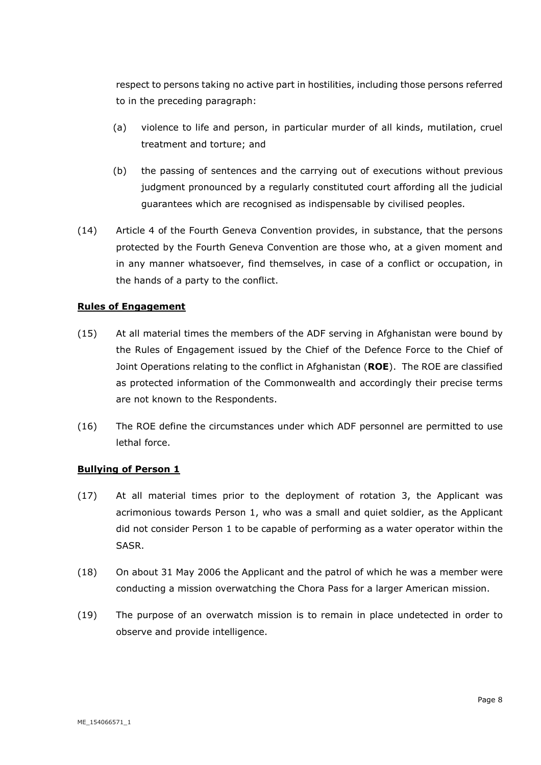respect to persons taking no active part in hostilities, including those persons referred to in the preceding paragraph:

- (a) violence to life and person, in particular murder of all kinds, mutilation, cruel treatment and torture; and
- (b) the passing of sentences and the carrying out of executions without previous judgment pronounced by a regularly constituted court affording all the judicial guarantees which are recognised as indispensable by civilised peoples.
- (14) Article 4 of the Fourth Geneva Convention provides, in substance, that the persons protected by the Fourth Geneva Convention are those who, at a given moment and in any manner whatsoever, find themselves, in case of a conflict or occupation, in the hands of a party to the conflict.

#### **Rules of Engagement**

- (15) At all material times the members of the ADF serving in Afghanistan were bound by the Rules of Engagement issued by the Chief of the Defence Force to the Chief of Joint Operations relating to the conflict in Afghanistan (**ROE**). The ROE are classified as protected information of the Commonwealth and accordingly their precise terms are not known to the Respondents.
- (16) The ROE define the circumstances under which ADF personnel are permitted to use lethal force.

#### **Bullying of Person 1**

- (17) At all material times prior to the deployment of rotation 3, the Applicant was acrimonious towards Person 1, who was a small and quiet soldier, as the Applicant did not consider Person 1 to be capable of performing as a water operator within the SASR.
- (18) On about 31 May 2006 the Applicant and the patrol of which he was a member were conducting a mission overwatching the Chora Pass for a larger American mission.
- (19) The purpose of an overwatch mission is to remain in place undetected in order to observe and provide intelligence.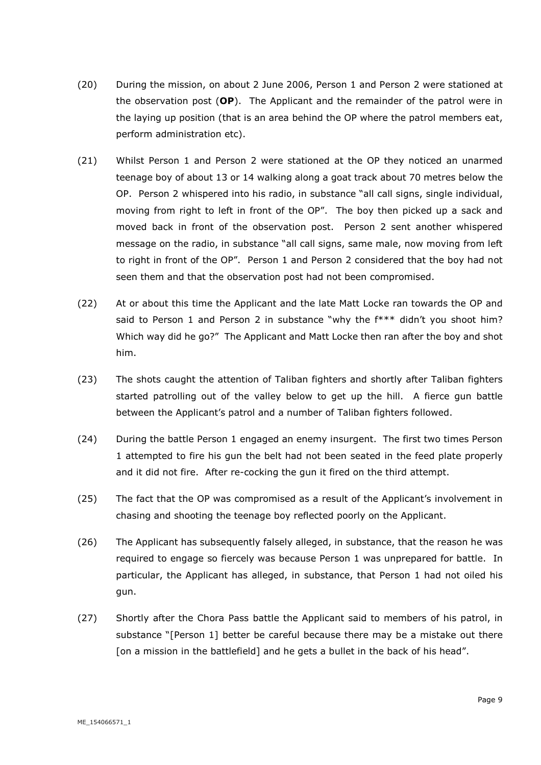- (20) During the mission, on about 2 June 2006, Person 1 and Person 2 were stationed at the observation post (**OP**). The Applicant and the remainder of the patrol were in the laying up position (that is an area behind the OP where the patrol members eat, perform administration etc).
- (21) Whilst Person 1 and Person 2 were stationed at the OP they noticed an unarmed teenage boy of about 13 or 14 walking along a goat track about 70 metres below the OP. Person 2 whispered into his radio, in substance "all call signs, single individual, moving from right to left in front of the OP". The boy then picked up a sack and moved back in front of the observation post. Person 2 sent another whispered message on the radio, in substance "all call signs, same male, now moving from left to right in front of the OP". Person 1 and Person 2 considered that the boy had not seen them and that the observation post had not been compromised.
- (22) At or about this time the Applicant and the late Matt Locke ran towards the OP and said to Person 1 and Person 2 in substance "why the f\*\*\* didn't you shoot him? Which way did he go?" The Applicant and Matt Locke then ran after the boy and shot him.
- (23) The shots caught the attention of Taliban fighters and shortly after Taliban fighters started patrolling out of the valley below to get up the hill. A fierce gun battle between the Applicant's patrol and a number of Taliban fighters followed.
- (24) During the battle Person 1 engaged an enemy insurgent. The first two times Person 1 attempted to fire his gun the belt had not been seated in the feed plate properly and it did not fire. After re-cocking the gun it fired on the third attempt.
- (25) The fact that the OP was compromised as a result of the Applicant's involvement in chasing and shooting the teenage boy reflected poorly on the Applicant.
- (26) The Applicant has subsequently falsely alleged, in substance, that the reason he was required to engage so fiercely was because Person 1 was unprepared for battle. In particular, the Applicant has alleged, in substance, that Person 1 had not oiled his gun.
- (27) Shortly after the Chora Pass battle the Applicant said to members of his patrol, in substance "[Person 1] better be careful because there may be a mistake out there [on a mission in the battlefield] and he gets a bullet in the back of his head".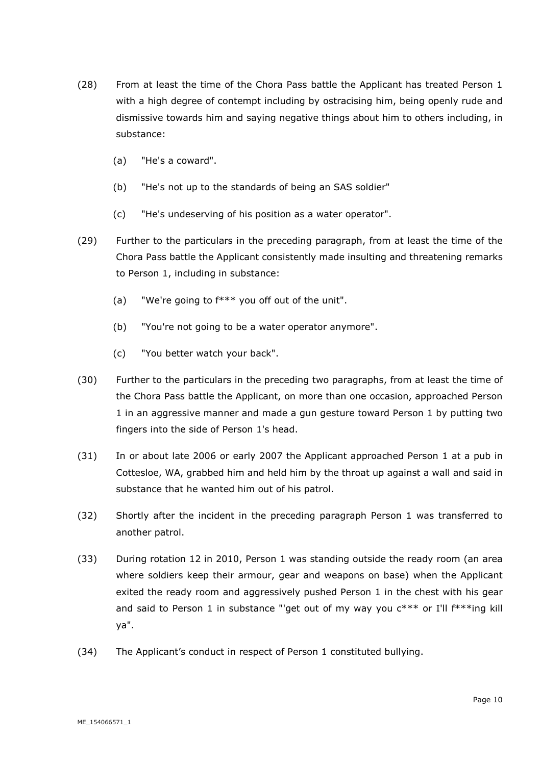- (28) From at least the time of the Chora Pass battle the Applicant has treated Person 1 with a high degree of contempt including by ostracising him, being openly rude and dismissive towards him and saying negative things about him to others including, in substance:
	- (a) "He's a coward".
	- (b) "He's not up to the standards of being an SAS soldier"
	- (c) "He's undeserving of his position as a water operator".
- (29) Further to the particulars in the preceding paragraph, from at least the time of the Chora Pass battle the Applicant consistently made insulting and threatening remarks to Person 1, including in substance:
	- (a) "We're going to f\*\*\* you off out of the unit".
	- (b) "You're not going to be a water operator anymore".
	- (c) "You better watch your back".
- (30) Further to the particulars in the preceding two paragraphs, from at least the time of the Chora Pass battle the Applicant, on more than one occasion, approached Person 1 in an aggressive manner and made a gun gesture toward Person 1 by putting two fingers into the side of Person 1's head.
- (31) In or about late 2006 or early 2007 the Applicant approached Person 1 at a pub in Cottesloe, WA, grabbed him and held him by the throat up against a wall and said in substance that he wanted him out of his patrol.
- (32) Shortly after the incident in the preceding paragraph Person 1 was transferred to another patrol.
- (33) During rotation 12 in 2010, Person 1 was standing outside the ready room (an area where soldiers keep their armour, gear and weapons on base) when the Applicant exited the ready room and aggressively pushed Person 1 in the chest with his gear and said to Person 1 in substance "'get out of my way you  $c***$  or I'll  $f***$ ing kill ya".
- (34) The Applicant's conduct in respect of Person 1 constituted bullying.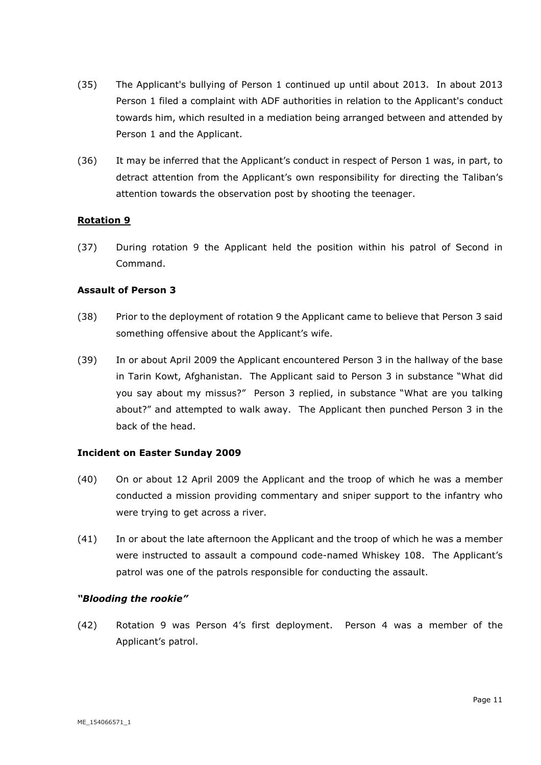- (35) The Applicant's bullying of Person 1 continued up until about 2013. In about 2013 Person 1 filed a complaint with ADF authorities in relation to the Applicant's conduct towards him, which resulted in a mediation being arranged between and attended by Person 1 and the Applicant.
- (36) It may be inferred that the Applicant's conduct in respect of Person 1 was, in part, to detract attention from the Applicant's own responsibility for directing the Taliban's attention towards the observation post by shooting the teenager.

#### **Rotation 9**

(37) During rotation 9 the Applicant held the position within his patrol of Second in Command.

#### **Assault of Person 3**

- (38) Prior to the deployment of rotation 9 the Applicant came to believe that Person 3 said something offensive about the Applicant's wife.
- (39) In or about April 2009 the Applicant encountered Person 3 in the hallway of the base in Tarin Kowt, Afghanistan. The Applicant said to Person 3 in substance "What did you say about my missus?" Person 3 replied, in substance "What are you talking about?" and attempted to walk away. The Applicant then punched Person 3 in the back of the head.

#### **Incident on Easter Sunday 2009**

- (40) On or about 12 April 2009 the Applicant and the troop of which he was a member conducted a mission providing commentary and sniper support to the infantry who were trying to get across a river.
- (41) In or about the late afternoon the Applicant and the troop of which he was a member were instructed to assault a compound code-named Whiskey 108. The Applicant's patrol was one of the patrols responsible for conducting the assault.

#### *"Blooding the rookie"*

(42) Rotation 9 was Person 4's first deployment. Person 4 was a member of the Applicant's patrol.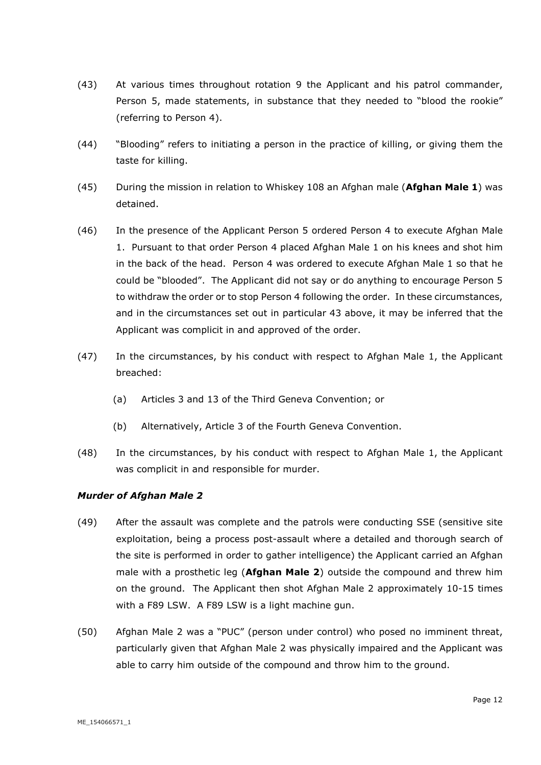- (43) At various times throughout rotation 9 the Applicant and his patrol commander, Person 5, made statements, in substance that they needed to "blood the rookie" (referring to Person 4).
- (44) "Blooding" refers to initiating a person in the practice of killing, or giving them the taste for killing.
- (45) During the mission in relation to Whiskey 108 an Afghan male (**Afghan Male 1**) was detained.
- (46) In the presence of the Applicant Person 5 ordered Person 4 to execute Afghan Male 1. Pursuant to that order Person 4 placed Afghan Male 1 on his knees and shot him in the back of the head. Person 4 was ordered to execute Afghan Male 1 so that he could be "blooded". The Applicant did not say or do anything to encourage Person 5 to withdraw the order or to stop Person 4 following the order. In these circumstances, and in the circumstances set out in particular 43 above, it may be inferred that the Applicant was complicit in and approved of the order.
- (47) In the circumstances, by his conduct with respect to Afghan Male 1, the Applicant breached:
	- (a) Articles 3 and 13 of the Third Geneva Convention; or
	- (b) Alternatively, Article 3 of the Fourth Geneva Convention.
- (48) In the circumstances, by his conduct with respect to Afghan Male 1, the Applicant was complicit in and responsible for murder.

#### *Murder of Afghan Male 2*

- (49) After the assault was complete and the patrols were conducting SSE (sensitive site exploitation, being a process post-assault where a detailed and thorough search of the site is performed in order to gather intelligence) the Applicant carried an Afghan male with a prosthetic leg (**Afghan Male 2**) outside the compound and threw him on the ground. The Applicant then shot Afghan Male 2 approximately 10-15 times with a F89 LSW. A F89 LSW is a light machine gun.
- (50) Afghan Male 2 was a "PUC" (person under control) who posed no imminent threat, particularly given that Afghan Male 2 was physically impaired and the Applicant was able to carry him outside of the compound and throw him to the ground.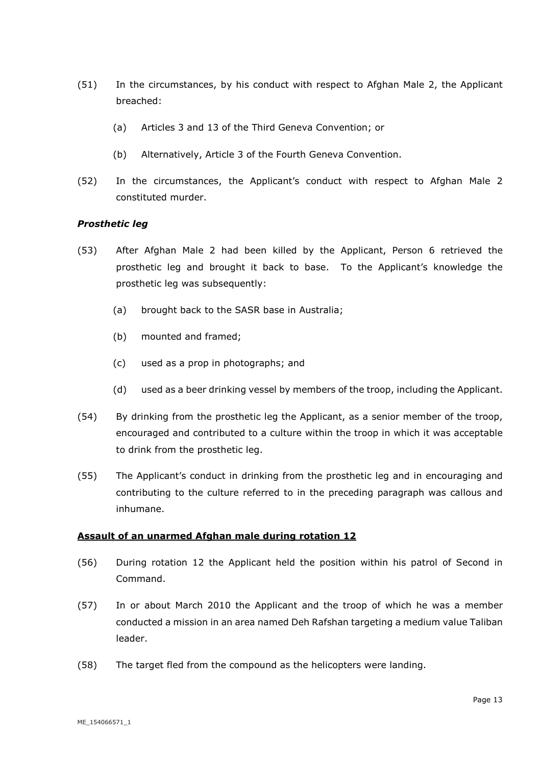- (51) In the circumstances, by his conduct with respect to Afghan Male 2, the Applicant breached:
	- (a) Articles 3 and 13 of the Third Geneva Convention; or
	- (b) Alternatively, Article 3 of the Fourth Geneva Convention.
- (52) In the circumstances, the Applicant's conduct with respect to Afghan Male 2 constituted murder.

#### *Prosthetic leg*

- (53) After Afghan Male 2 had been killed by the Applicant, Person 6 retrieved the prosthetic leg and brought it back to base. To the Applicant's knowledge the prosthetic leg was subsequently:
	- (a) brought back to the SASR base in Australia;
	- (b) mounted and framed;
	- (c) used as a prop in photographs; and
	- (d) used as a beer drinking vessel by members of the troop, including the Applicant.
- (54) By drinking from the prosthetic leg the Applicant, as a senior member of the troop, encouraged and contributed to a culture within the troop in which it was acceptable to drink from the prosthetic leg.
- (55) The Applicant's conduct in drinking from the prosthetic leg and in encouraging and contributing to the culture referred to in the preceding paragraph was callous and inhumane.

#### **Assault of an unarmed Afghan male during rotation 12**

- (56) During rotation 12 the Applicant held the position within his patrol of Second in Command.
- (57) In or about March 2010 the Applicant and the troop of which he was a member conducted a mission in an area named Deh Rafshan targeting a medium value Taliban leader.
- (58) The target fled from the compound as the helicopters were landing.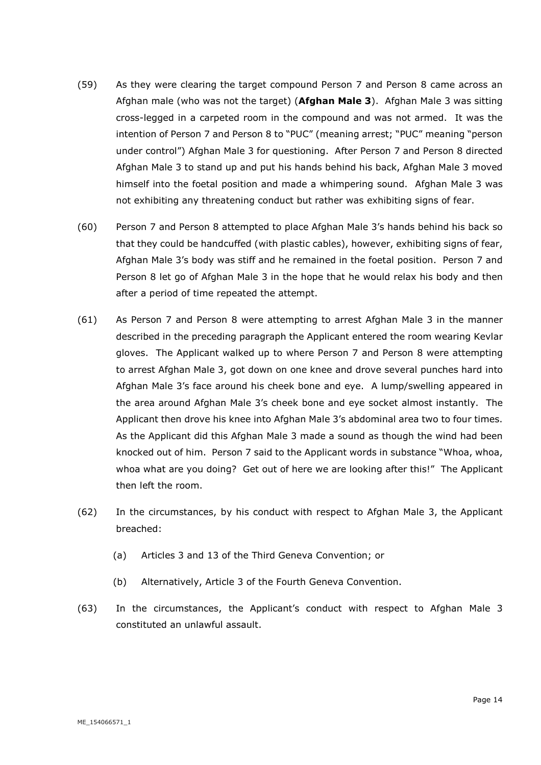- (59) As they were clearing the target compound Person 7 and Person 8 came across an Afghan male (who was not the target) (**Afghan Male 3**). Afghan Male 3 was sitting cross-legged in a carpeted room in the compound and was not armed. It was the intention of Person 7 and Person 8 to "PUC" (meaning arrest; "PUC" meaning "person under control") Afghan Male 3 for questioning. After Person 7 and Person 8 directed Afghan Male 3 to stand up and put his hands behind his back, Afghan Male 3 moved himself into the foetal position and made a whimpering sound. Afghan Male 3 was not exhibiting any threatening conduct but rather was exhibiting signs of fear.
- (60) Person 7 and Person 8 attempted to place Afghan Male 3's hands behind his back so that they could be handcuffed (with plastic cables), however, exhibiting signs of fear, Afghan Male 3's body was stiff and he remained in the foetal position. Person 7 and Person 8 let go of Afghan Male 3 in the hope that he would relax his body and then after a period of time repeated the attempt.
- (61) As Person 7 and Person 8 were attempting to arrest Afghan Male 3 in the manner described in the preceding paragraph the Applicant entered the room wearing Kevlar gloves. The Applicant walked up to where Person 7 and Person 8 were attempting to arrest Afghan Male 3, got down on one knee and drove several punches hard into Afghan Male 3's face around his cheek bone and eye. A lump/swelling appeared in the area around Afghan Male 3's cheek bone and eye socket almost instantly. The Applicant then drove his knee into Afghan Male 3's abdominal area two to four times. As the Applicant did this Afghan Male 3 made a sound as though the wind had been knocked out of him. Person 7 said to the Applicant words in substance "Whoa, whoa, whoa what are you doing? Get out of here we are looking after this!" The Applicant then left the room.
- (62) In the circumstances, by his conduct with respect to Afghan Male 3, the Applicant breached:
	- (a) Articles 3 and 13 of the Third Geneva Convention; or
	- (b) Alternatively, Article 3 of the Fourth Geneva Convention.
- (63) In the circumstances, the Applicant's conduct with respect to Afghan Male 3 constituted an unlawful assault.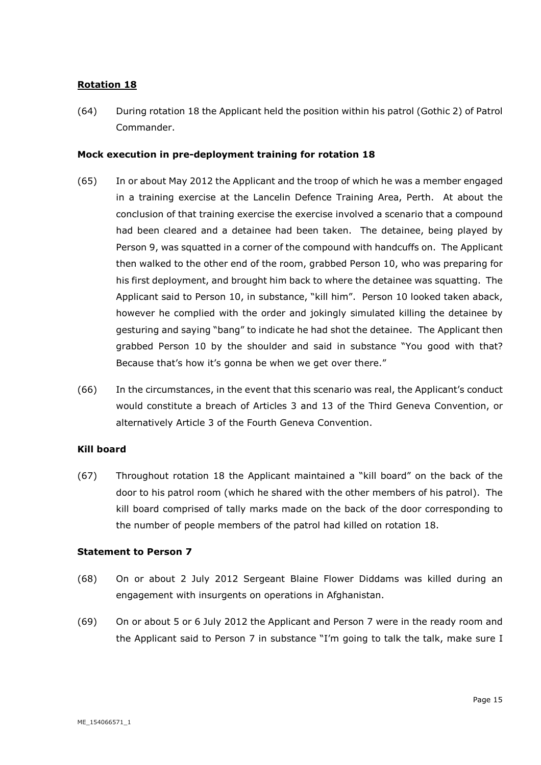#### **Rotation 18**

(64) During rotation 18 the Applicant held the position within his patrol (Gothic 2) of Patrol Commander.

#### **Mock execution in pre-deployment training for rotation 18**

- (65) In or about May 2012 the Applicant and the troop of which he was a member engaged in a training exercise at the Lancelin Defence Training Area, Perth. At about the conclusion of that training exercise the exercise involved a scenario that a compound had been cleared and a detainee had been taken. The detainee, being played by Person 9, was squatted in a corner of the compound with handcuffs on. The Applicant then walked to the other end of the room, grabbed Person 10, who was preparing for his first deployment, and brought him back to where the detainee was squatting. The Applicant said to Person 10, in substance, "kill him". Person 10 looked taken aback, however he complied with the order and jokingly simulated killing the detainee by gesturing and saying "bang" to indicate he had shot the detainee. The Applicant then grabbed Person 10 by the shoulder and said in substance "You good with that? Because that's how it's gonna be when we get over there."
- (66) In the circumstances, in the event that this scenario was real, the Applicant's conduct would constitute a breach of Articles 3 and 13 of the Third Geneva Convention, or alternatively Article 3 of the Fourth Geneva Convention.

#### **Kill board**

(67) Throughout rotation 18 the Applicant maintained a "kill board" on the back of the door to his patrol room (which he shared with the other members of his patrol). The kill board comprised of tally marks made on the back of the door corresponding to the number of people members of the patrol had killed on rotation 18.

#### **Statement to Person 7**

- (68) On or about 2 July 2012 Sergeant Blaine Flower Diddams was killed during an engagement with insurgents on operations in Afghanistan.
- (69) On or about 5 or 6 July 2012 the Applicant and Person 7 were in the ready room and the Applicant said to Person 7 in substance "I'm going to talk the talk, make sure I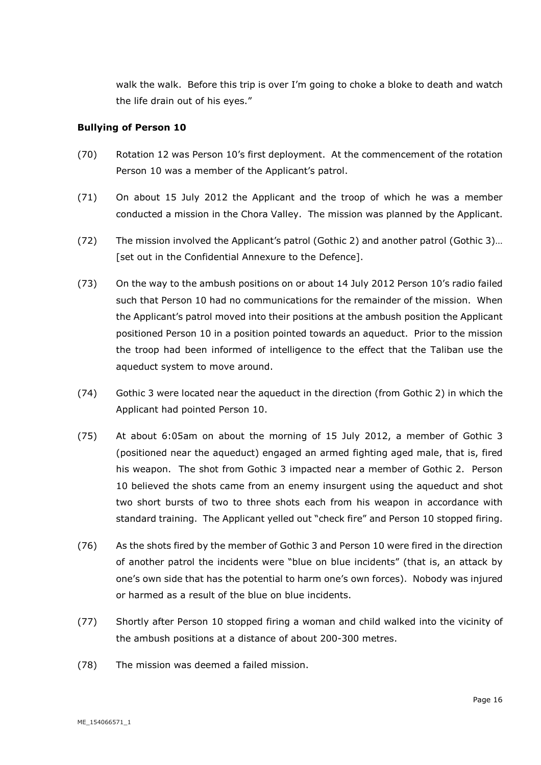walk the walk. Before this trip is over I'm going to choke a bloke to death and watch the life drain out of his eyes."

#### **Bullying of Person 10**

- (70) Rotation 12 was Person 10's first deployment. At the commencement of the rotation Person 10 was a member of the Applicant's patrol.
- (71) On about 15 July 2012 the Applicant and the troop of which he was a member conducted a mission in the Chora Valley. The mission was planned by the Applicant.
- (72) The mission involved the Applicant's patrol (Gothic 2) and another patrol (Gothic 3)… [set out in the Confidential Annexure to the Defence].
- (73) On the way to the ambush positions on or about 14 July 2012 Person 10's radio failed such that Person 10 had no communications for the remainder of the mission. When the Applicant's patrol moved into their positions at the ambush position the Applicant positioned Person 10 in a position pointed towards an aqueduct. Prior to the mission the troop had been informed of intelligence to the effect that the Taliban use the aqueduct system to move around.
- (74) Gothic 3 were located near the aqueduct in the direction (from Gothic 2) in which the Applicant had pointed Person 10.
- (75) At about 6:05am on about the morning of 15 July 2012, a member of Gothic 3 (positioned near the aqueduct) engaged an armed fighting aged male, that is, fired his weapon. The shot from Gothic 3 impacted near a member of Gothic 2. Person 10 believed the shots came from an enemy insurgent using the aqueduct and shot two short bursts of two to three shots each from his weapon in accordance with standard training. The Applicant yelled out "check fire" and Person 10 stopped firing.
- (76) As the shots fired by the member of Gothic 3 and Person 10 were fired in the direction of another patrol the incidents were "blue on blue incidents" (that is, an attack by one's own side that has the potential to harm one's own forces). Nobody was injured or harmed as a result of the blue on blue incidents.
- (77) Shortly after Person 10 stopped firing a woman and child walked into the vicinity of the ambush positions at a distance of about 200-300 metres.
- (78) The mission was deemed a failed mission.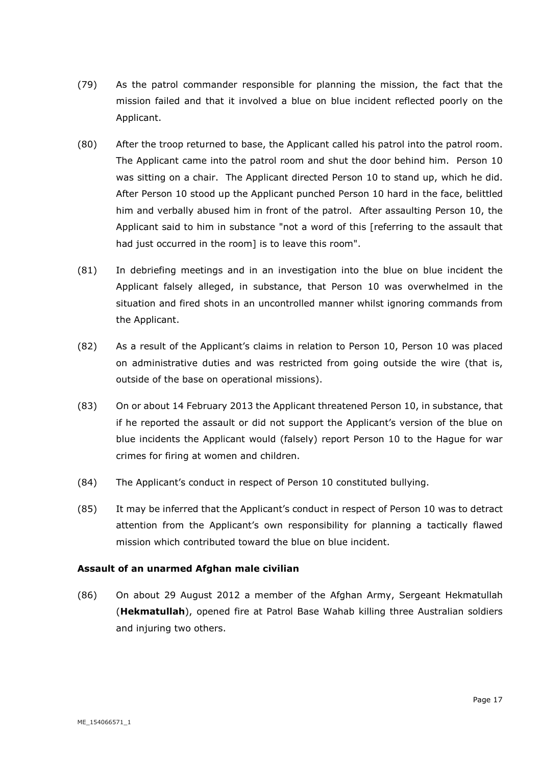- (79) As the patrol commander responsible for planning the mission, the fact that the mission failed and that it involved a blue on blue incident reflected poorly on the Applicant.
- (80) After the troop returned to base, the Applicant called his patrol into the patrol room. The Applicant came into the patrol room and shut the door behind him. Person 10 was sitting on a chair. The Applicant directed Person 10 to stand up, which he did. After Person 10 stood up the Applicant punched Person 10 hard in the face, belittled him and verbally abused him in front of the patrol. After assaulting Person 10, the Applicant said to him in substance "not a word of this [referring to the assault that had just occurred in the room] is to leave this room".
- (81) In debriefing meetings and in an investigation into the blue on blue incident the Applicant falsely alleged, in substance, that Person 10 was overwhelmed in the situation and fired shots in an uncontrolled manner whilst ignoring commands from the Applicant.
- (82) As a result of the Applicant's claims in relation to Person 10, Person 10 was placed on administrative duties and was restricted from going outside the wire (that is, outside of the base on operational missions).
- (83) On or about 14 February 2013 the Applicant threatened Person 10, in substance, that if he reported the assault or did not support the Applicant's version of the blue on blue incidents the Applicant would (falsely) report Person 10 to the Hague for war crimes for firing at women and children.
- (84) The Applicant's conduct in respect of Person 10 constituted bullying.
- (85) It may be inferred that the Applicant's conduct in respect of Person 10 was to detract attention from the Applicant's own responsibility for planning a tactically flawed mission which contributed toward the blue on blue incident.

#### **Assault of an unarmed Afghan male civilian**

(86) On about 29 August 2012 a member of the Afghan Army, Sergeant Hekmatullah (**Hekmatullah**), opened fire at Patrol Base Wahab killing three Australian soldiers and injuring two others.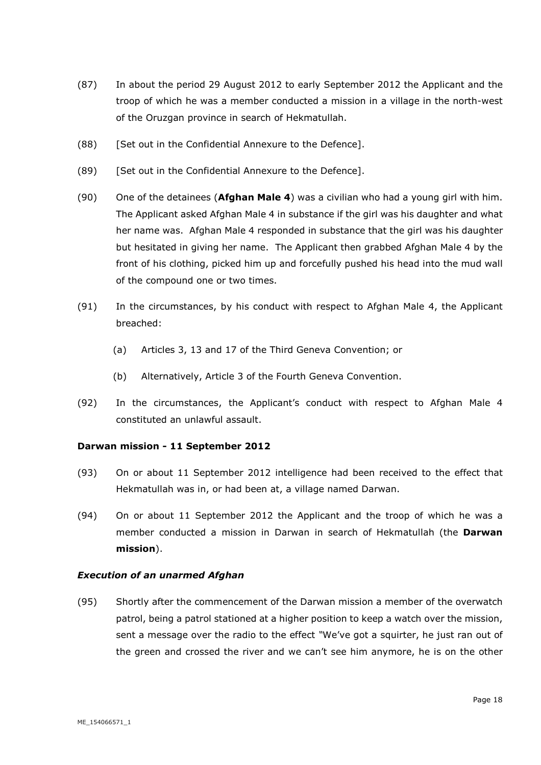- (87) In about the period 29 August 2012 to early September 2012 the Applicant and the troop of which he was a member conducted a mission in a village in the north-west of the Oruzgan province in search of Hekmatullah.
- (88) [Set out in the Confidential Annexure to the Defence].
- (89) [Set out in the Confidential Annexure to the Defence].
- (90) One of the detainees (**Afghan Male 4**) was a civilian who had a young girl with him. The Applicant asked Afghan Male 4 in substance if the girl was his daughter and what her name was. Afghan Male 4 responded in substance that the girl was his daughter but hesitated in giving her name. The Applicant then grabbed Afghan Male 4 by the front of his clothing, picked him up and forcefully pushed his head into the mud wall of the compound one or two times.
- (91) In the circumstances, by his conduct with respect to Afghan Male 4, the Applicant breached:
	- (a) Articles 3, 13 and 17 of the Third Geneva Convention; or
	- (b) Alternatively, Article 3 of the Fourth Geneva Convention.
- (92) In the circumstances, the Applicant's conduct with respect to Afghan Male 4 constituted an unlawful assault.

#### **Darwan mission - 11 September 2012**

- (93) On or about 11 September 2012 intelligence had been received to the effect that Hekmatullah was in, or had been at, a village named Darwan.
- (94) On or about 11 September 2012 the Applicant and the troop of which he was a member conducted a mission in Darwan in search of Hekmatullah (the **Darwan mission**).

#### *Execution of an unarmed Afghan*

(95) Shortly after the commencement of the Darwan mission a member of the overwatch patrol, being a patrol stationed at a higher position to keep a watch over the mission, sent a message over the radio to the effect *"*We've got a squirter, he just ran out of the green and crossed the river and we can't see him anymore, he is on the other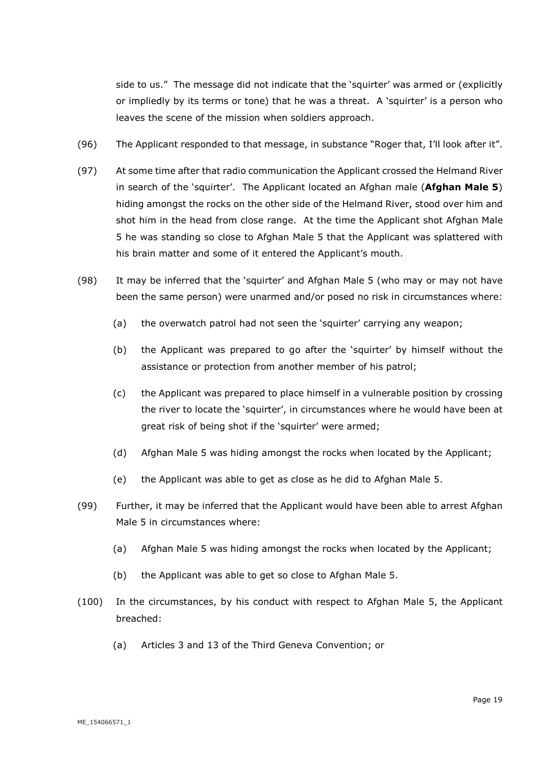side to us." The message did not indicate that the 'squirter' was armed or (explicitly or impliedly by its terms or tone) that he was a threat. A 'squirter' is a person who leaves the scene of the mission when soldiers approach.

- (96) The Applicant responded to that message, in substance "Roger that, I'll look after it".
- (97) At some time after that radio communication the Applicant crossed the Helmand River in search of the 'squirter'. The Applicant located an Afghan male (**Afghan Male 5**) hiding amongst the rocks on the other side of the Helmand River, stood over him and shot him in the head from close range. At the time the Applicant shot Afghan Male 5 he was standing so close to Afghan Male 5 that the Applicant was splattered with his brain matter and some of it entered the Applicant's mouth.
- (98) It may be inferred that the 'squirter' and Afghan Male 5 (who may or may not have been the same person) were unarmed and/or posed no risk in circumstances where:
	- (a) the overwatch patrol had not seen the 'squirter' carrying any weapon;
	- (b) the Applicant was prepared to go after the 'squirter' by himself without the assistance or protection from another member of his patrol;
	- (c) the Applicant was prepared to place himself in a vulnerable position by crossing the river to locate the 'squirter', in circumstances where he would have been at great risk of being shot if the 'squirter' were armed;
	- (d) Afghan Male 5 was hiding amongst the rocks when located by the Applicant;
	- (e) the Applicant was able to get as close as he did to Afghan Male 5.
- (99) Further, it may be inferred that the Applicant would have been able to arrest Afghan Male 5 in circumstances where:
	- (a) Afghan Male 5 was hiding amongst the rocks when located by the Applicant;
	- (b) the Applicant was able to get so close to Afghan Male 5.
- (100) In the circumstances, by his conduct with respect to Afghan Male 5, the Applicant breached:
	- (a) Articles 3 and 13 of the Third Geneva Convention; or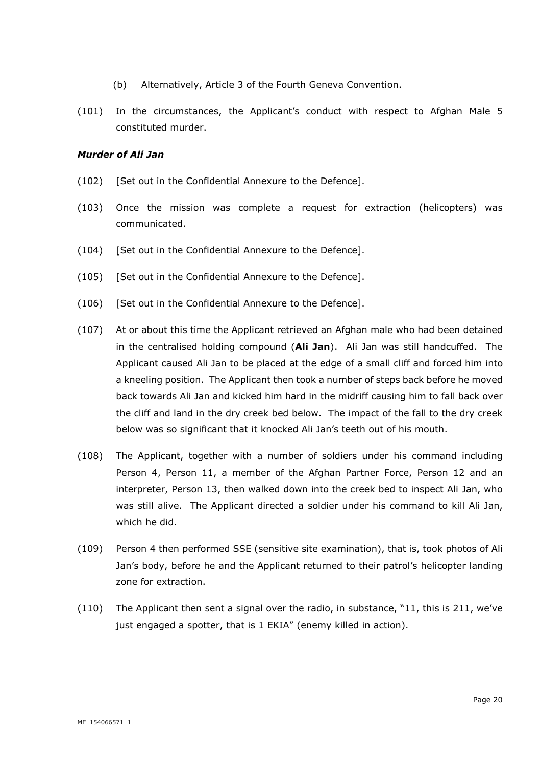- (b) Alternatively, Article 3 of the Fourth Geneva Convention.
- (101) In the circumstances, the Applicant's conduct with respect to Afghan Male 5 constituted murder.

#### *Murder of Ali Jan*

- (102) [Set out in the Confidential Annexure to the Defence].
- (103) Once the mission was complete a request for extraction (helicopters) was communicated.
- (104) [Set out in the Confidential Annexure to the Defence].
- (105) [Set out in the Confidential Annexure to the Defence].
- (106) [Set out in the Confidential Annexure to the Defence].
- (107) At or about this time the Applicant retrieved an Afghan male who had been detained in the centralised holding compound (**Ali Jan**). Ali Jan was still handcuffed. The Applicant caused Ali Jan to be placed at the edge of a small cliff and forced him into a kneeling position. The Applicant then took a number of steps back before he moved back towards Ali Jan and kicked him hard in the midriff causing him to fall back over the cliff and land in the dry creek bed below. The impact of the fall to the dry creek below was so significant that it knocked Ali Jan's teeth out of his mouth.
- (108) The Applicant, together with a number of soldiers under his command including Person 4, Person 11, a member of the Afghan Partner Force, Person 12 and an interpreter, Person 13, then walked down into the creek bed to inspect Ali Jan, who was still alive. The Applicant directed a soldier under his command to kill Ali Jan, which he did.
- (109) Person 4 then performed SSE (sensitive site examination), that is, took photos of Ali Jan's body, before he and the Applicant returned to their patrol's helicopter landing zone for extraction.
- (110) The Applicant then sent a signal over the radio, in substance, "11, this is 211, we've just engaged a spotter, that is 1 EKIA" (enemy killed in action).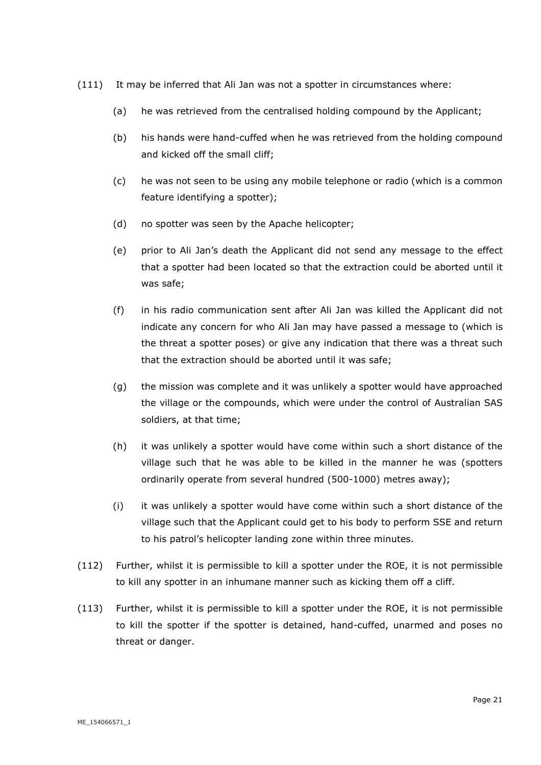- (111) It may be inferred that Ali Jan was not a spotter in circumstances where:
	- (a) he was retrieved from the centralised holding compound by the Applicant;
	- (b) his hands were hand-cuffed when he was retrieved from the holding compound and kicked off the small cliff;
	- (c) he was not seen to be using any mobile telephone or radio (which is a common feature identifying a spotter);
	- (d) no spotter was seen by the Apache helicopter;
	- (e) prior to Ali Jan's death the Applicant did not send any message to the effect that a spotter had been located so that the extraction could be aborted until it was safe;
	- (f) in his radio communication sent after Ali Jan was killed the Applicant did not indicate any concern for who Ali Jan may have passed a message to (which is the threat a spotter poses) or give any indication that there was a threat such that the extraction should be aborted until it was safe;
	- (g) the mission was complete and it was unlikely a spotter would have approached the village or the compounds, which were under the control of Australian SAS soldiers, at that time;
	- (h) it was unlikely a spotter would have come within such a short distance of the village such that he was able to be killed in the manner he was (spotters ordinarily operate from several hundred (500-1000) metres away);
	- (i) it was unlikely a spotter would have come within such a short distance of the village such that the Applicant could get to his body to perform SSE and return to his patrol's helicopter landing zone within three minutes.
- (112) Further, whilst it is permissible to kill a spotter under the ROE, it is not permissible to kill any spotter in an inhumane manner such as kicking them off a cliff.
- (113) Further, whilst it is permissible to kill a spotter under the ROE, it is not permissible to kill the spotter if the spotter is detained, hand-cuffed, unarmed and poses no threat or danger.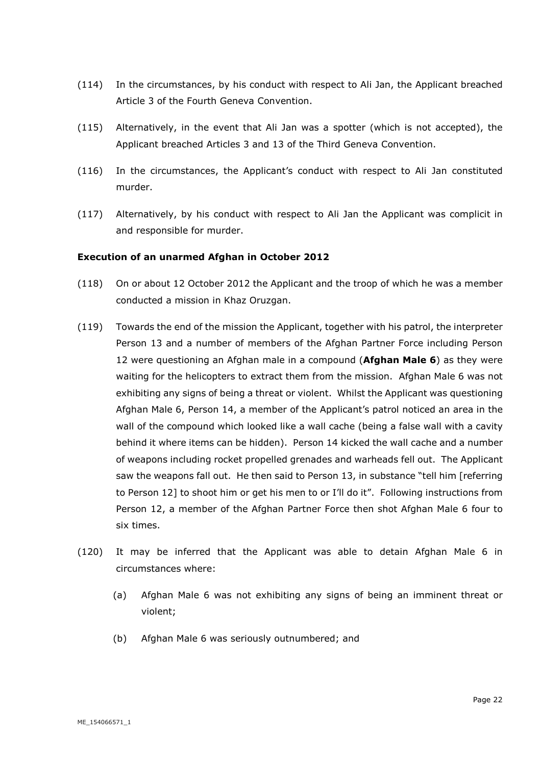- (114) In the circumstances, by his conduct with respect to Ali Jan, the Applicant breached Article 3 of the Fourth Geneva Convention.
- (115) Alternatively, in the event that Ali Jan was a spotter (which is not accepted), the Applicant breached Articles 3 and 13 of the Third Geneva Convention.
- (116) In the circumstances, the Applicant's conduct with respect to Ali Jan constituted murder.
- (117) Alternatively, by his conduct with respect to Ali Jan the Applicant was complicit in and responsible for murder.

#### **Execution of an unarmed Afghan in October 2012**

- (118) On or about 12 October 2012 the Applicant and the troop of which he was a member conducted a mission in Khaz Oruzgan.
- (119) Towards the end of the mission the Applicant, together with his patrol, the interpreter Person 13 and a number of members of the Afghan Partner Force including Person 12 were questioning an Afghan male in a compound (**Afghan Male 6**) as they were waiting for the helicopters to extract them from the mission. Afghan Male 6 was not exhibiting any signs of being a threat or violent. Whilst the Applicant was questioning Afghan Male 6, Person 14, a member of the Applicant's patrol noticed an area in the wall of the compound which looked like a wall cache (being a false wall with a cavity behind it where items can be hidden). Person 14 kicked the wall cache and a number of weapons including rocket propelled grenades and warheads fell out. The Applicant saw the weapons fall out. He then said to Person 13, in substance "tell him [referring to Person 12] to shoot him or get his men to or I'll do it". Following instructions from Person 12, a member of the Afghan Partner Force then shot Afghan Male 6 four to six times.
- (120) It may be inferred that the Applicant was able to detain Afghan Male 6 in circumstances where:
	- (a) Afghan Male 6 was not exhibiting any signs of being an imminent threat or violent;
	- (b) Afghan Male 6 was seriously outnumbered; and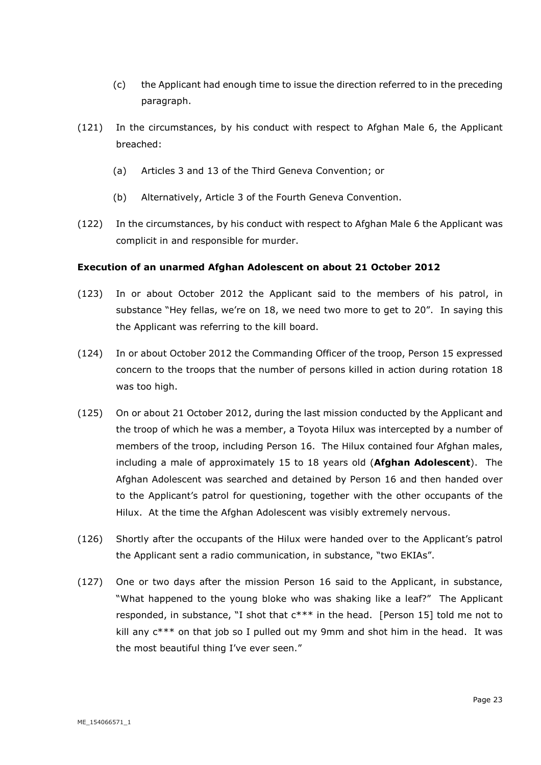- (c) the Applicant had enough time to issue the direction referred to in the preceding paragraph.
- (121) In the circumstances, by his conduct with respect to Afghan Male 6, the Applicant breached:
	- (a) Articles 3 and 13 of the Third Geneva Convention; or
	- (b) Alternatively, Article 3 of the Fourth Geneva Convention.
- (122) In the circumstances, by his conduct with respect to Afghan Male 6 the Applicant was complicit in and responsible for murder.

#### **Execution of an unarmed Afghan Adolescent on about 21 October 2012**

- (123) In or about October 2012 the Applicant said to the members of his patrol, in substance "Hey fellas, we're on 18, we need two more to get to 20". In saying this the Applicant was referring to the kill board.
- (124) In or about October 2012 the Commanding Officer of the troop, Person 15 expressed concern to the troops that the number of persons killed in action during rotation 18 was too high.
- (125) On or about 21 October 2012, during the last mission conducted by the Applicant and the troop of which he was a member, a Toyota Hilux was intercepted by a number of members of the troop, including Person 16. The Hilux contained four Afghan males, including a male of approximately 15 to 18 years old (**Afghan Adolescent**). The Afghan Adolescent was searched and detained by Person 16 and then handed over to the Applicant's patrol for questioning, together with the other occupants of the Hilux. At the time the Afghan Adolescent was visibly extremely nervous.
- (126) Shortly after the occupants of the Hilux were handed over to the Applicant's patrol the Applicant sent a radio communication, in substance, "two EKIAs".
- (127) One or two days after the mission Person 16 said to the Applicant, in substance, "What happened to the young bloke who was shaking like a leaf?" The Applicant responded, in substance, "I shot that  $c***$  in the head. [Person 15] told me not to kill any  $c^{***}$  on that job so I pulled out my 9mm and shot him in the head. It was the most beautiful thing I've ever seen."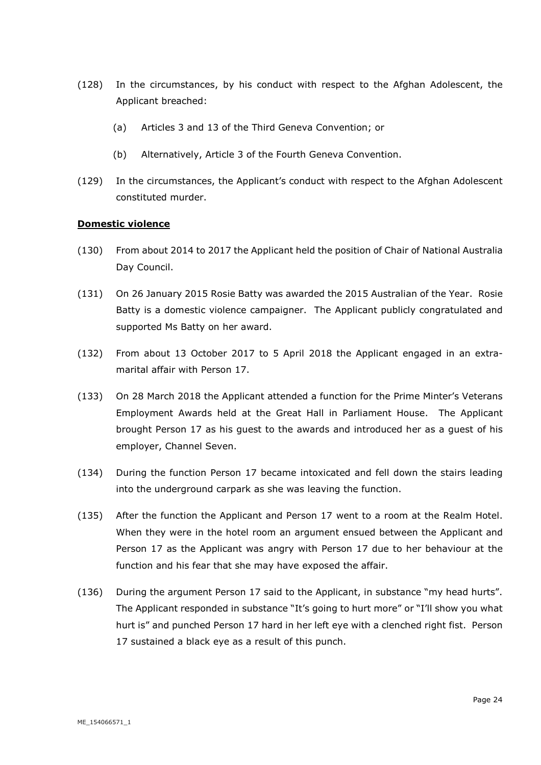- (128) In the circumstances, by his conduct with respect to the Afghan Adolescent, the Applicant breached:
	- (a) Articles 3 and 13 of the Third Geneva Convention; or
	- (b) Alternatively, Article 3 of the Fourth Geneva Convention.
- (129) In the circumstances, the Applicant's conduct with respect to the Afghan Adolescent constituted murder.

#### **Domestic violence**

- (130) From about 2014 to 2017 the Applicant held the position of Chair of National Australia Day Council.
- (131) On 26 January 2015 Rosie Batty was awarded the 2015 Australian of the Year. Rosie Batty is a domestic violence campaigner. The Applicant publicly congratulated and supported Ms Batty on her award.
- (132) From about 13 October 2017 to 5 April 2018 the Applicant engaged in an extramarital affair with Person 17.
- (133) On 28 March 2018 the Applicant attended a function for the Prime Minter's Veterans Employment Awards held at the Great Hall in Parliament House. The Applicant brought Person 17 as his guest to the awards and introduced her as a guest of his employer, Channel Seven.
- (134) During the function Person 17 became intoxicated and fell down the stairs leading into the underground carpark as she was leaving the function.
- (135) After the function the Applicant and Person 17 went to a room at the Realm Hotel. When they were in the hotel room an argument ensued between the Applicant and Person 17 as the Applicant was angry with Person 17 due to her behaviour at the function and his fear that she may have exposed the affair.
- (136) During the argument Person 17 said to the Applicant, in substance "my head hurts". The Applicant responded in substance "It's going to hurt more" or "I'll show you what hurt is" and punched Person 17 hard in her left eye with a clenched right fist. Person 17 sustained a black eye as a result of this punch.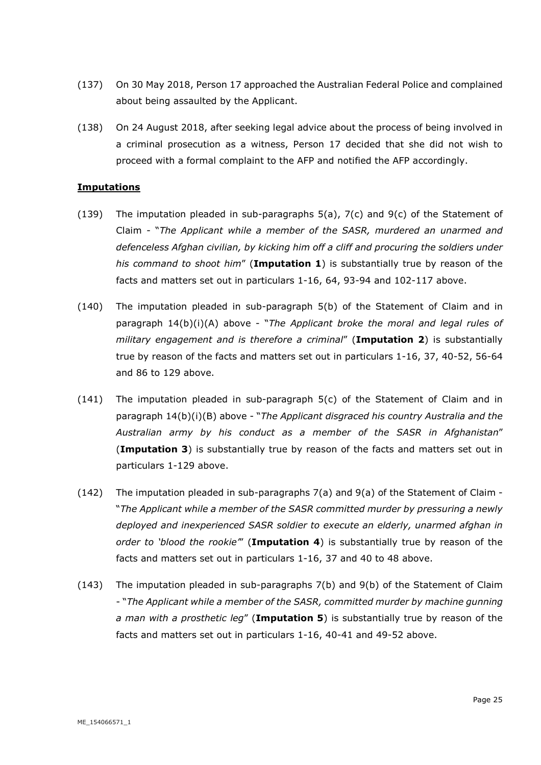- (137) On 30 May 2018, Person 17 approached the Australian Federal Police and complained about being assaulted by the Applicant.
- (138) On 24 August 2018, after seeking legal advice about the process of being involved in a criminal prosecution as a witness, Person 17 decided that she did not wish to proceed with a formal complaint to the AFP and notified the AFP accordingly.

#### **Imputations**

- (139) The imputation pleaded in sub-paragraphs 5(a), 7(c) and 9(c) of the Statement of Claim - "*The Applicant while a member of the SASR, murdered an unarmed and defenceless Afghan civilian, by kicking him off a cliff and procuring the soldiers under his command to shoot him*" (**Imputation 1**) is substantially true by reason of the facts and matters set out in particulars 1-16, 64, 93-94 and 102-117 above.
- (140) The imputation pleaded in sub-paragraph 5(b) of the Statement of Claim and in paragraph 14(b)(i)(A) above - "*The Applicant broke the moral and legal rules of military engagement and is therefore a criminal*" (**Imputation 2**) is substantially true by reason of the facts and matters set out in particulars 1-16, 37, 40-52, 56-64 and 86 to 129 above.
- (141) The imputation pleaded in sub-paragraph 5(c) of the Statement of Claim and in paragraph 14(b)(i)(B) above - "*The Applicant disgraced his country Australia and the Australian army by his conduct as a member of the SASR in Afghanistan*" (**Imputation 3**) is substantially true by reason of the facts and matters set out in particulars 1-129 above.
- $(142)$  The imputation pleaded in sub-paragraphs 7(a) and 9(a) of the Statement of Claim -"*The Applicant while a member of the SASR committed murder by pressuring a newly deployed and inexperienced SASR soldier to execute an elderly, unarmed afghan in order to 'blood the rookie'*" (**Imputation 4**) is substantially true by reason of the facts and matters set out in particulars 1-16, 37 and 40 to 48 above.
- (143) The imputation pleaded in sub-paragraphs 7(b) and 9(b) of the Statement of Claim - "*The Applicant while a member of the SASR, committed murder by machine gunning a man with a prosthetic leg*" (**Imputation 5**) is substantially true by reason of the facts and matters set out in particulars 1-16, 40-41 and 49-52 above.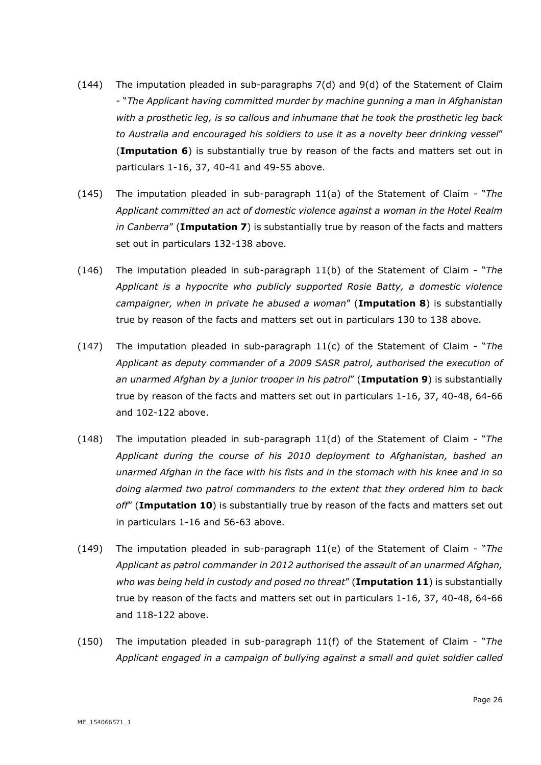- (144) The imputation pleaded in sub-paragraphs 7(d) and 9(d) of the Statement of Claim - "*The Applicant having committed murder by machine gunning a man in Afghanistan with a prosthetic leg, is so callous and inhumane that he took the prosthetic leg back to Australia and encouraged his soldiers to use it as a novelty beer drinking vessel*" (**Imputation 6**) is substantially true by reason of the facts and matters set out in particulars 1-16, 37, 40-41 and 49-55 above.
- (145) The imputation pleaded in sub-paragraph 11(a) of the Statement of Claim "*The Applicant committed an act of domestic violence against a woman in the Hotel Realm in Canberra*" (**Imputation 7**) is substantially true by reason of the facts and matters set out in particulars 132-138 above.
- (146) The imputation pleaded in sub-paragraph 11(b) of the Statement of Claim "*The Applicant is a hypocrite who publicly supported Rosie Batty, a domestic violence campaigner, when in private he abused a woman*" (**Imputation 8**) is substantially true by reason of the facts and matters set out in particulars 130 to 138 above.
- (147) The imputation pleaded in sub-paragraph 11(c) of the Statement of Claim "*The Applicant as deputy commander of a 2009 SASR patrol, authorised the execution of an unarmed Afghan by a junior trooper in his patrol*" (**Imputation 9**) is substantially true by reason of the facts and matters set out in particulars 1-16, 37, 40-48, 64-66 and 102-122 above.
- (148) The imputation pleaded in sub-paragraph 11(d) of the Statement of Claim "*The Applicant during the course of his 2010 deployment to Afghanistan, bashed an unarmed Afghan in the face with his fists and in the stomach with his knee and in so doing alarmed two patrol commanders to the extent that they ordered him to back off*" (**Imputation 10**) is substantially true by reason of the facts and matters set out in particulars 1-16 and 56-63 above.
- (149) The imputation pleaded in sub-paragraph 11(e) of the Statement of Claim "*The Applicant as patrol commander in 2012 authorised the assault of an unarmed Afghan, who was being held in custody and posed no threat*" (**Imputation 11**) is substantially true by reason of the facts and matters set out in particulars 1-16, 37, 40-48, 64-66 and 118-122 above.
- (150) The imputation pleaded in sub-paragraph 11(f) of the Statement of Claim "*The Applicant engaged in a campaign of bullying against a small and quiet soldier called*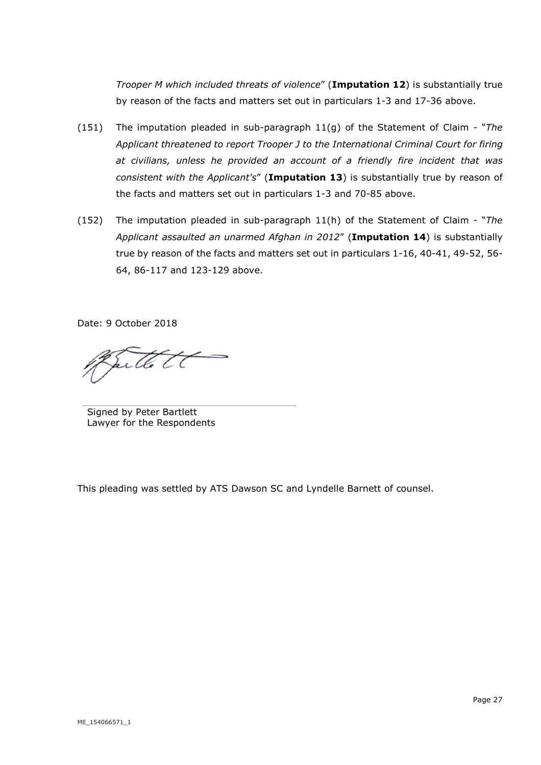*Trooper M which included threats of violence*" (**Imputation 12**) is substantially true by reason of the facts and matters set out in particulars 1-3 and 17-36 above.

- (151) The imputation pleaded in sub-paragraph 11(g) of the Statement of Claim "*The Applicant threatened to report Trooper J to the International Criminal Court for firing at civilians, unless he provided an account of a friendly fire incident that was consistent with the Applicant's*" (**Imputation 13**) is substantially true by reason of the facts and matters set out in particulars 1-3 and 70-85 above.
- (152) The imputation pleaded in sub-paragraph 11(h) of the Statement of Claim "*The Applicant assaulted an unarmed Afghan in 2012*" (**Imputation 14**) is substantially true by reason of the facts and matters set out in particulars 1-16, 40-41, 49-52, 56- 64, 86-117 and 123-129 above.

Date: 9 October 2018

Buttett

Signed by Peter Bartlett Lawyer for the Respondents

This pleading was settled by ATS Dawson SC and Lyndelle Barnett of counsel.